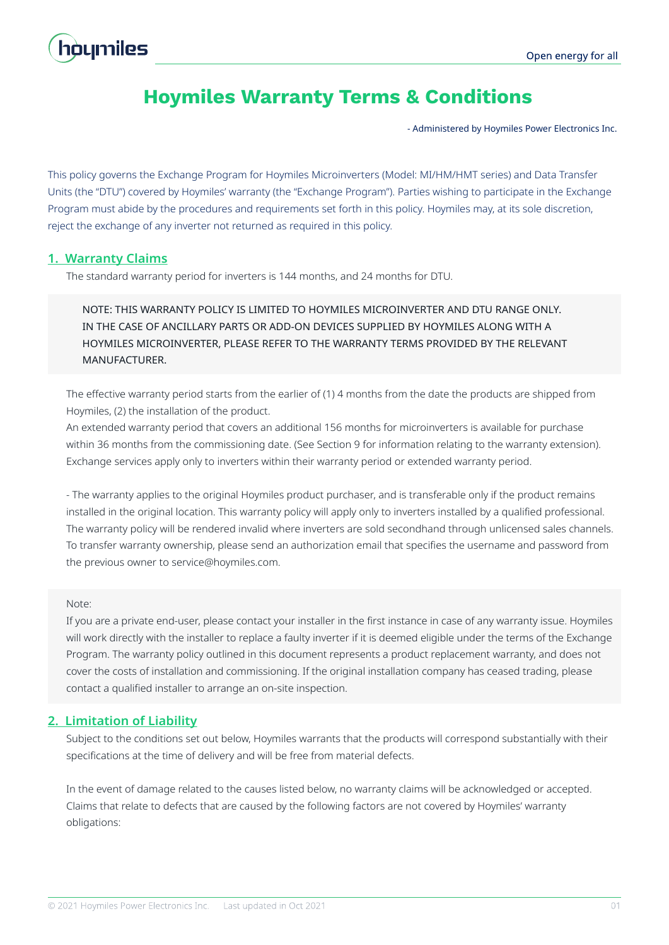# houmiles

# **Hoymiles Warranty Terms & Conditions**

- Administered by Hoymiles Power Electronics Inc.

This policy governs the Exchange Program for Hoymiles Microinverters (Model: MI/HM/HMT series) and Data Transfer Units (the "DTU") covered by Hoymiles' warranty (the "Exchange Program"). Parties wishing to participate in the Exchange Program must abide by the procedures and requirements set forth in this policy. Hoymiles may, at its sole discretion, reject the exchange of any inverter not returned as required in this policy.

# **1. Warranty Claims**

The standard warranty period for inverters is 144 months, and 24 months for DTU.

# NOTE: THIS WARRANTY POLICY IS LIMITED TO HOYMILES MICROINVERTER AND DTU RANGE ONLY. IN THE CASE OF ANCILLARY PARTS OR ADD-ON DEVICES SUPPLIED BY HOYMILES ALONG WITH A HOYMILES MICROINVERTER, PLEASE REFER TO THE WARRANTY TERMS PROVIDED BY THE RELEVANT MANUFACTURER.

The effective warranty period starts from the earlier of (1) 4 months from the date the products are shipped from Hoymiles, (2) the installation of the product.

An extended warranty period that covers an additional 156 months for microinverters is available for purchase within 36 months from the commissioning date. (See Section 9 for information relating to the warranty extension). Exchange services apply only to inverters within their warranty period or extended warranty period.

- The warranty applies to the original Hoymiles product purchaser, and is transferable only if the product remains installed in the original location. This warranty policy will apply only to inverters installed by a qualified professional. The warranty policy will be rendered invalid where inverters are sold secondhand through unlicensed sales channels. To transfer warranty ownership, please send an authorization email that specifies the username and password from the previous owner to service@hoymiles.com.

#### Note:

If you are a private end-user, please contact your installer in the first instance in case of any warranty issue. Hoymiles will work directly with the installer to replace a faulty inverter if it is deemed eligible under the terms of the Exchange Program. The warranty policy outlined in this document represents a product replacement warranty, and does not cover the costs of installation and commissioning. If the original installation company has ceased trading, please contact a qualified installer to arrange an on-site inspection.

# **2. Limitation of Liability**

Subject to the conditions set out below, Hoymiles warrants that the products will correspond substantially with their specifications at the time of delivery and will be free from material defects.

In the event of damage related to the causes listed below, no warranty claims will be acknowledged or accepted. Claims that relate to defects that are caused by the following factors are not covered by Hoymiles' warranty obligations: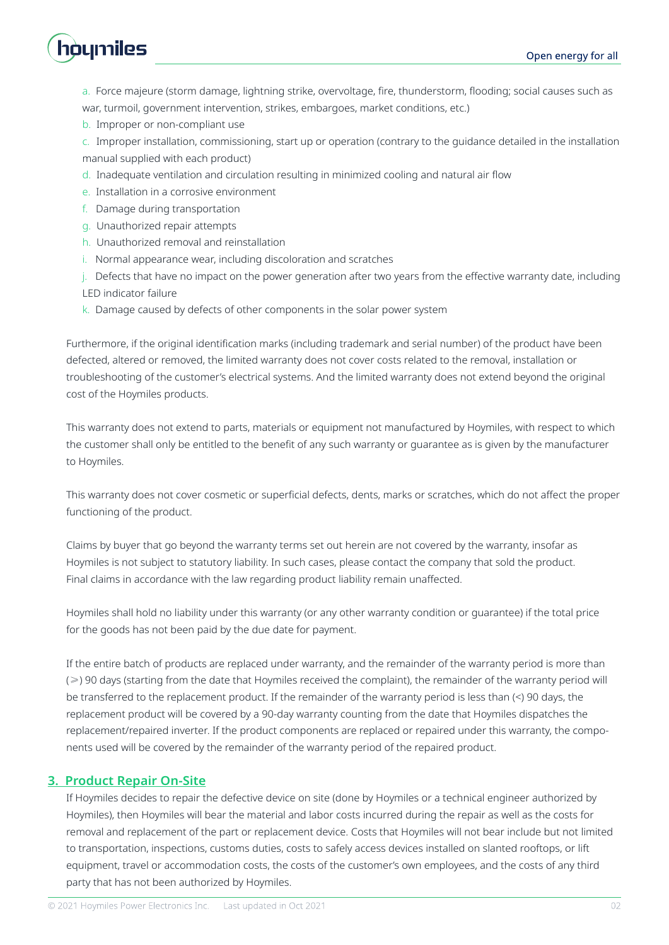

a. Force majeure (storm damage, lightning strike, overvoltage, fire, thunderstorm, flooding; social causes such as war, turmoil, government intervention, strikes, embargoes, market conditions, etc.)

b. Improper or non-compliant use

c. Improper installation, commissioning, start up or operation (contrary to the guidance detailed in the installation manual supplied with each product)

- d. Inadequate ventilation and circulation resulting in minimized cooling and natural air flow
- e. Installation in a corrosive environment
- f. Damage during transportation
- g. Unauthorized repair attempts
- h. Unauthorized removal and reinstallation
- i. Normal appearance wear, including discoloration and scratches
- j. Defects that have no impact on the power generation after two years from the effective warranty date, including

LED indicator failure

k. Damage caused by defects of other components in the solar power system

Furthermore, if the original identification marks (including trademark and serial number) of the product have been defected, altered or removed, the limited warranty does not cover costs related to the removal, installation or troubleshooting of the customer's electrical systems. And the limited warranty does not extend beyond the original cost of the Hoymiles products.

This warranty does not extend to parts, materials or equipment not manufactured by Hoymiles, with respect to which the customer shall only be entitled to the benefit of any such warranty or guarantee as is given by the manufacturer to Hoymiles.

This warranty does not cover cosmetic or superficial defects, dents, marks or scratches, which do not affect the proper functioning of the product.

Claims by buyer that go beyond the warranty terms set out herein are not covered by the warranty, insofar as Hoymiles is not subject to statutory liability. In such cases, please contact the company that sold the product. Final claims in accordance with the law regarding product liability remain unaffected.

Hoymiles shall hold no liability under this warranty (or any other warranty condition or guarantee) if the total price for the goods has not been paid by the due date for payment.

If the entire batch of products are replaced under warranty, and the remainder of the warranty period is more than (≥) 90 days (starting from the date that Hoymiles received the complaint), the remainder of the warranty period will be transferred to the replacement product. If the remainder of the warranty period is less than (<) 90 days, the replacement product will be covered by a 90-day warranty counting from the date that Hoymiles dispatches the replacement/repaired inverter. If the product components are replaced or repaired under this warranty, the components used will be covered by the remainder of the warranty period of the repaired product.

# **3. Product Repair On-Site**

If Hoymiles decides to repair the defective device on site (done by Hoymiles or a technical engineer authorized by Hoymiles), then Hoymiles will bear the material and labor costs incurred during the repair as well as the costs for removal and replacement of the part or replacement device. Costs that Hoymiles will not bear include but not limited to transportation, inspections, customs duties, costs to safely access devices installed on slanted rooftops, or lift equipment, travel or accommodation costs, the costs of the customer's own employees, and the costs of any third party that has not been authorized by Hoymiles.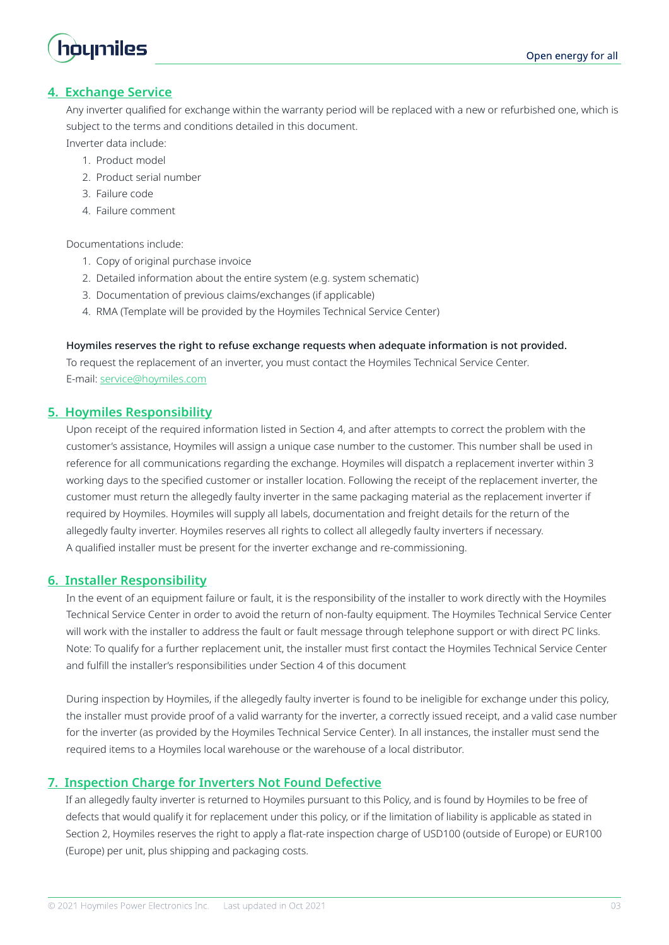

# **4. Exchange Service**

Any inverter qualified for exchange within the warranty period will be replaced with a new or refurbished one, which is subject to the terms and conditions detailed in this document.

Inverter data include:

- 1. Product model
- 2. Product serial number
- 3. Failure code
- 4. Failure comment

Documentations include:

- 1. Copy of original purchase invoice
- 2. Detailed information about the entire system (e.g. system schematic)
- 3. Documentation of previous claims/exchanges (if applicable)
- 4. RMA (Template will be provided by the Hoymiles Technical Service Center)

#### Hoymiles reserves the right to refuse exchange requests when adequate information is not provided.

To request the replacement of an inverter, you must contact the Hoymiles Technical Service Center. E-mail: service@hoymiles.com

#### **5. Hoymiles Responsibility**

Upon receipt of the required information listed in Section 4, and after attempts to correct the problem with the customer's assistance, Hoymiles will assign a unique case number to the customer. This number shall be used in reference for all communications regarding the exchange. Hoymiles will dispatch a replacement inverter within 3 working days to the specified customer or installer location. Following the receipt of the replacement inverter, the customer must return the allegedly faulty inverter in the same packaging material as the replacement inverter if required by Hoymiles. Hoymiles will supply all labels, documentation and freight details for the return of the allegedly faulty inverter. Hoymiles reserves all rights to collect all allegedly faulty inverters if necessary. A qualified installer must be present for the inverter exchange and re-commissioning.

#### **6. Installer Responsibility**

In the event of an equipment failure or fault, it is the responsibility of the installer to work directly with the Hoymiles Technical Service Center in order to avoid the return of non-faulty equipment. The Hoymiles Technical Service Center will work with the installer to address the fault or fault message through telephone support or with direct PC links. Note: To qualify for a further replacement unit, the installer must first contact the Hoymiles Technical Service Center and fulfill the installer's responsibilities under Section 4 of this document

During inspection by Hoymiles, if the allegedly faulty inverter is found to be ineligible for exchange under this policy, the installer must provide proof of a valid warranty for the inverter, a correctly issued receipt, and a valid case number for the inverter (as provided by the Hoymiles Technical Service Center). In all instances, the installer must send the required items to a Hoymiles local warehouse or the warehouse of a local distributor.

# **7. Inspection Charge for Inverters Not Found Defective**

If an allegedly faulty inverter is returned to Hoymiles pursuant to this Policy, and is found by Hoymiles to be free of defects that would qualify it for replacement under this policy, or if the limitation of liability is applicable as stated in Section 2, Hoymiles reserves the right to apply a flat-rate inspection charge of USD100 (outside of Europe) or EUR100 (Europe) per unit, plus shipping and packaging costs.